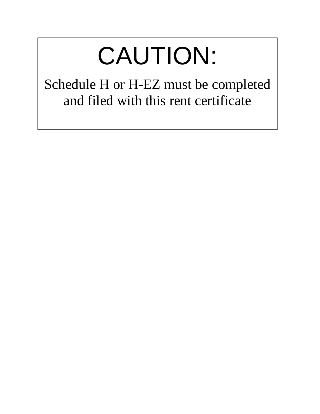# CAUTION:

Schedule H or H-EZ must be completed and filed with this rent certificate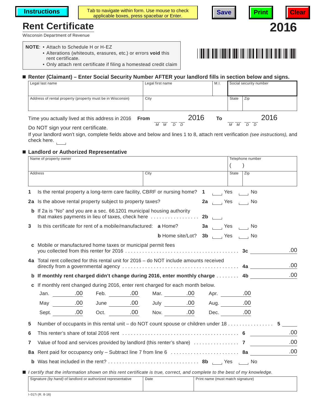**Instructions**  $\begin{bmatrix} 1 & 1 \end{bmatrix}$  Tab to navigate within form. Use mouse to check b to navigate within form. Use mouse to check **Save Print Print** 

## **Rent Certificate 2016**

Wisconsin Department of Revenue

#### **NOTE**: • Attach to Schedule H or H-EZ

- Alterations (whiteouts, erasures, etc.) or errors **void** this rent certificate.
- Only attach rent certificate if filing a homestead credit claim

#### **Renter (Claimant) – Enter Social Security Number AFTER your landlord fills in section below and signs.**

| Legal last name                                            | Legal first name |      | M.I. | Social security number |      |
|------------------------------------------------------------|------------------|------|------|------------------------|------|
| Address of rental property (property must be in Wisconsin) | City             |      |      | State                  | Zip  |
| Time you actually lived at this address in 2016 From       | М                | 2016 | To   | М                      | 2016 |

Do NOT sign your rent certificate.

If your landlord won't sign, complete fields above and below and lines 1 to 8, attach rent verification *(see instructions)*, and check here.

#### **Landlord or Authorized Representative**

| City<br><b>Address</b><br>State<br>Zip<br>Is the rental property a long-term care facility, CBRF or nursing home? 1 [12] Yes [14] No<br>1<br>2a Is the above rental property subject to property taxes?<br>2a  Yes $\qquad$ No<br><b>b</b> If 2a is "No" and you are a sec. 66.1201 municipal housing authority<br>Is this certificate for rent of a mobile/manufactured: a Home?<br>3<br>3a Yes No |
|-----------------------------------------------------------------------------------------------------------------------------------------------------------------------------------------------------------------------------------------------------------------------------------------------------------------------------------------------------------------------------------------------------|
|                                                                                                                                                                                                                                                                                                                                                                                                     |
|                                                                                                                                                                                                                                                                                                                                                                                                     |
|                                                                                                                                                                                                                                                                                                                                                                                                     |
|                                                                                                                                                                                                                                                                                                                                                                                                     |
|                                                                                                                                                                                                                                                                                                                                                                                                     |
|                                                                                                                                                                                                                                                                                                                                                                                                     |
|                                                                                                                                                                                                                                                                                                                                                                                                     |
| <b>b</b> Home site/Lot? <b>3b</b> $\qquad$ Yes $\qquad$ No                                                                                                                                                                                                                                                                                                                                          |
| Mobile or manufactured home taxes or municipal permit fees<br>C<br>.00.                                                                                                                                                                                                                                                                                                                             |
| 4a Total rent collected for this rental unit for 2016 – do NOT include amounts received<br>.00<br>directly from a governmental agency $\dots\dots\dots\dots\dots\dots\dots\dots\dots\dots\dots\dots\dots\dots$ 4a $\blacksquare$                                                                                                                                                                    |
| .00<br>b If monthly rent charged didn't change during 2016, enter monthly charge 4b                                                                                                                                                                                                                                                                                                                 |
| c If monthly rent changed during 2016, enter rent charged for each month below.                                                                                                                                                                                                                                                                                                                     |
| Apr. 00                                                                                                                                                                                                                                                                                                                                                                                             |
|                                                                                                                                                                                                                                                                                                                                                                                                     |
| Sept. 00 Oct. 00 Nov. 00 Dec. 00                                                                                                                                                                                                                                                                                                                                                                    |
| Number of occupants in this rental unit – do NOT count spouse or children under 18 5<br>5                                                                                                                                                                                                                                                                                                           |
| .00<br>6                                                                                                                                                                                                                                                                                                                                                                                            |
| .00<br>7                                                                                                                                                                                                                                                                                                                                                                                            |
| .00                                                                                                                                                                                                                                                                                                                                                                                                 |
|                                                                                                                                                                                                                                                                                                                                                                                                     |
| I certify that the information shown on this rent certificate is true, correct, and complete to the best of my knowledge.                                                                                                                                                                                                                                                                           |

| 1.0171(B) 0.101                                              |      |                                   |
|--------------------------------------------------------------|------|-----------------------------------|
|                                                              |      |                                   |
| Signature (by hand) of landlord or authorized representative | Date | Print name (must match signature) |
|                                                              |      |                                   |

г